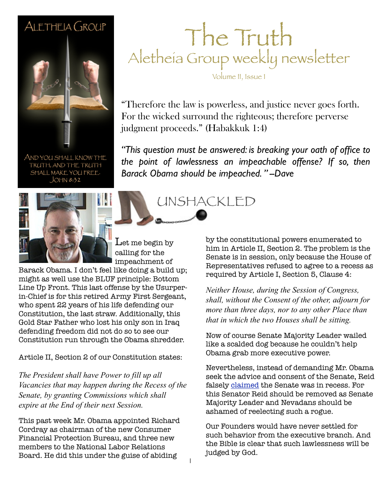# ALETHEIA GROUP

AND YOU SHALL KNOW THE TRUTH, AND THE TRUTH SHALL MAKE YOU FREE.  $JOHN 8:32$ 



 ${\rm \ Let}$  me begin by calling for the impeachment of

Barack Obama. I don't feel like doing a build up; might as well use the BLUF principle: Bottom Line Up Front. This last offense by the Usurperin-Chief is for this retired Army First Sergeant, who spent 22 years of his life defending our Constitution, the last straw. Additionally, this Gold Star Father who lost his only son in Iraq defending freedom did not do so to see our Constitution run through the Obama shredder.

Article II, Section 2 of our Constitution states:

*The President shall have Power to fill up all Vacancies that may happen during the Recess of the Senate, by granting Commissions which shall expire at the End of their next Session.*

This past week Mr. Obama appointed Richard Cordray as chairman of the new Consumer Financial Protection Bureau, and three new members to the National Labor Relations Board. He did this under the guise of abiding

#### The Truth Aletheia Group weekly newsletter

Volume II, Issue 1

"Therefore the law is powerless, and justice never goes forth. For the wicked surround the righteous; therefore perverse judgment proceeds." (Habakkuk 1:4)

*"This question must be answered: is breaking your oath of office to the point of lawlessness an impeachable offense? If so, then Barack Obama should be impeached. " --Dave*

UNSHACKLED



by the constitutional powers enumerated to him in Article II, Section 2. The problem is the Senate is in session, only because the House of Representatives refused to agree to a recess as required by Article I, Section 5, Clause 4:

*Neither House, during the Session of Congress, shall, without the Consent of the other, adjourn for more than three days, nor to any other Place than that in which the two Houses shall be sitting.*

Now of course Senate Majority Leader wailed like a scalded dog because he couldn't help Obama grab more executive power.

Nevertheless, instead of demanding Mr. Obama seek the advice and consent of the Senate, Reid falsely [claimed](http://heritageaction.com/2012/01/pres-obama-%E2%80%9Cpower-abuser-in-chief%E2%80%9D/) the Senate was in recess. For this Senator Reid should be removed as Senate Majority Leader and Nevadans should be ashamed of reelecting such a rogue.

Our Founders would have never settled for such behavior from the executive branch. And the Bible is clear that such lawlessness will be judged by God.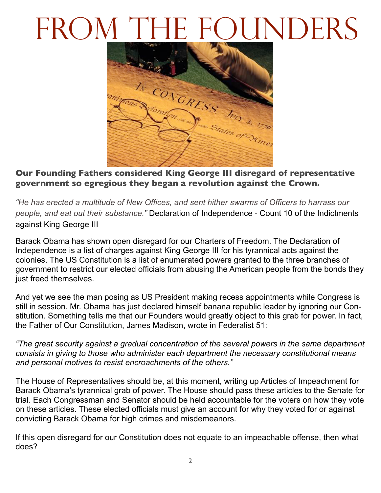# FROM THE FOUNDERS



**Our Founding Fathers considered King George III disregard of representative government so egregious they began a revolution against the Crown.**

*"He has erected a multitude of New Offices, and sent hither swarms of Officers to harrass our people, and eat out their substance."* Declaration of Independence - Count 10 of the Indictments against King George III

Barack Obama has shown open disregard for our Charters of Freedom. The Declaration of Independence is a list of charges against King George III for his tyrannical acts against the colonies. The US Constitution is a list of enumerated powers granted to the three branches of government to restrict our elected officials from abusing the American people from the bonds they just freed themselves.

And yet we see the man posing as US President making recess appointments while Congress is still in session. Mr. Obama has just declared himself banana republic leader by ignoring our Constitution. Something tells me that our Founders would greatly object to this grab for power. In fact, the Father of Our Constitution, James Madison, wrote in Federalist 51:

*"The great security against a gradual concentration of the several powers in the same department consists in giving to those who administer each department the necessary constitutional means and personal motives to resist encroachments of the others."*

The House of Representatives should be, at this moment, writing up Articles of Impeachment for Barack Obama's tyrannical grab of power. The House should pass these articles to the Senate for trial. Each Congressman and Senator should be held accountable for the voters on how they vote on these articles. These elected officials must give an account for why they voted for or against convicting Barack Obama for high crimes and misdemeanors.

If this open disregard for our Constitution does not equate to an impeachable offense, then what does?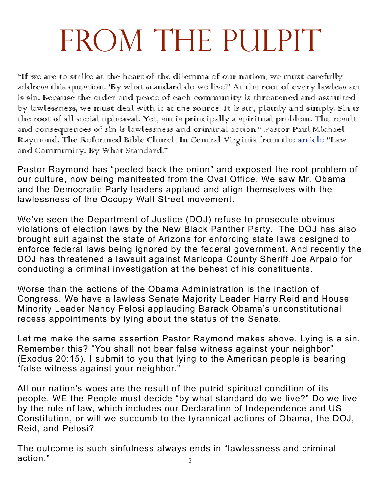# FROM THE PULPIT

"If we are to strike at the heart of the dilemma of our nation, we must carefully address this question. 'By what standard do we live?' At the root of every lawless act is sin. Because the order and peace of each community is threatened and assaulted by lawlessness, we must deal with it at the source. It is sin, plainly and simply. Sin is the root of all social upheaval. Yet, sin is principally a spiritual problem. The result and consequences of sin is lawlessness and criminal action." Pastor Paul Michael Raymond, The Reformed Bible Church In Central Virginia from the [article](http://www.americanreformation.org/Sermons/community.htm) "Law and Community: By What Standard."

Pastor Raymond has "peeled back the onion" and exposed the root problem of our culture, now being manifested from the Oval Office. We saw Mr. Obama and the Democratic Party leaders applaud and align themselves with the lawlessness of the Occupy Wall Street movement.

We've seen the Department of Justice (DOJ) refuse to prosecute obvious violations of election laws by the New Black Panther Party. The DOJ has also brought suit against the state of Arizona for enforcing state laws designed to enforce federal laws being ignored by the federal government. And recently the DOJ has threatened a lawsuit against Maricopa County Sheriff Joe Arpaio for conducting a criminal investigation at the behest of his constituents.

Worse than the actions of the Obama Administration is the inaction of Congress. We have a lawless Senate Majority Leader Harry Reid and House Minority Leader Nancy Pelosi applauding Barack Obama's unconstitutional recess appointments by lying about the status of the Senate.

Let me make the same assertion Pastor Raymond makes above. Lying is a sin. Remember this? "You shall not bear false witness against your neighbor" (Exodus 20:15). I submit to you that lying to the American people is bearing "false witness against your neighbor."

All our nation's woes are the result of the putrid spiritual condition of its people. WE the People must decide "by what standard do we live?" Do we live by the rule of law, which includes our Declaration of Independence and US Constitution, or will we succumb to the tyrannical actions of Obama, the DOJ, Reid, and Pelosi?

3 The outcome is such sinfulness always ends in "lawlessness and criminal action."